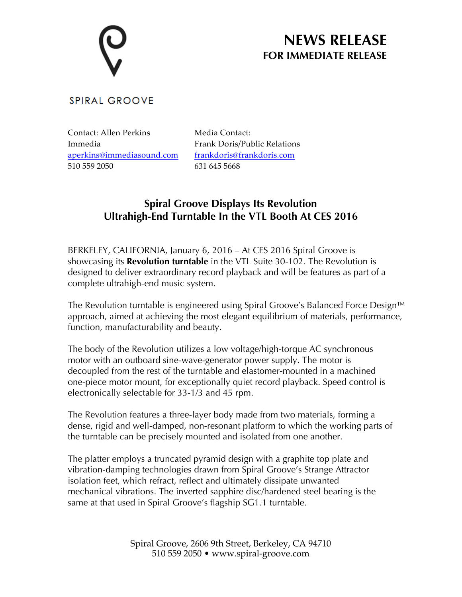# **NEWS RELEASE FOR IMMEDIATE RELEASE**

### **SPIRAL GROOVE**

Contact: Allen Perkins Immedia aperkins@immediasound.com 510 559 2050

Media Contact: Frank Doris/Public Relations frankdoris@frankdoris.com 631 645 5668

## **Spiral Groove Displays Its Revolution Ultrahigh-End Turntable In the VTL Booth At CES 2016**

BERKELEY, CALIFORNIA, January 6, 2016 – At CES 2016 Spiral Groove is showcasing its **Revolution turntable** in the VTL Suite 30-102. The Revolution is designed to deliver extraordinary record playback and will be features as part of a complete ultrahigh-end music system.

The Revolution turntable is engineered using Spiral Groove's Balanced Force Design™ approach, aimed at achieving the most elegant equilibrium of materials, performance, function, manufacturability and beauty.

The body of the Revolution utilizes a low voltage/high-torque AC synchronous motor with an outboard sine-wave-generator power supply. The motor is decoupled from the rest of the turntable and elastomer-mounted in a machined one-piece motor mount, for exceptionally quiet record playback. Speed control is electronically selectable for 33-1/3 and 45 rpm.

The Revolution features a three-layer body made from two materials, forming a dense, rigid and well-damped, non-resonant platform to which the working parts of the turntable can be precisely mounted and isolated from one another.

The platter employs a truncated pyramid design with a graphite top plate and vibration-damping technologies drawn from Spiral Groove's Strange Attractor isolation feet, which refract, reflect and ultimately dissipate unwanted mechanical vibrations. The inverted sapphire disc/hardened steel bearing is the same at that used in Spiral Groove's flagship SG1.1 turntable.